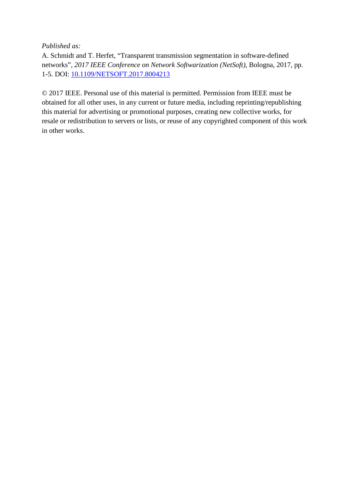*Published as:*

A. Schmidt and T. Herfet, "Transparent transmission segmentation in software-defined networks", *2017 IEEE Conference on Network Softwarization (NetSoft)*, Bologna, 2017, pp. 1-5. DOI: [10.1109/NETSOFT.2017.8004213](https://doi.org/10.1109/NETSOFT.2017.8004213)

© 2017 IEEE. Personal use of this material is permitted. Permission from IEEE must be obtained for all other uses, in any current or future media, including reprinting/republishing this material for advertising or promotional purposes, creating new collective works, for resale or redistribution to servers or lists, or reuse of any copyrighted component of this work in other works.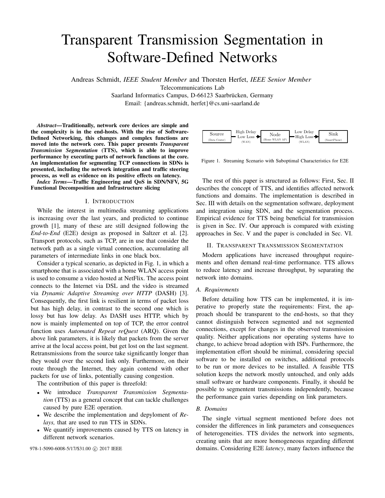# Transparent Transmission Segmentation in Software-Defined Networks

Andreas Schmidt, *IEEE Student Member* and Thorsten Herfet, *IEEE Senior Member*

Telecommunications Lab

Saarland Informatics Campus, D-66123 Saarbrücken, Germany

Email: {andreas.schmidt, herfet}@cs.uni-saarland.de

*Abstract*—Traditionally, network core devices are simple and the complexity is in the end-hosts. With the rise of Software-Defined Networking, this changes and complex functions are moved into the network core. This paper presents *Transparent Transmission Segmentation* (TTS), which is able to improve performance by executing parts of network functions at the core. An implementation for segmenting TCP connections in SDNs is presented, including the network integration and traffic steering process, as well as evidence on its positive effects on latency.

*Index Terms*—Traffic Engineering and QoS in SDN/NFV, 5G Functional Decomposition and Infrastructure slicing

## I. INTRODUCTION

While the interest in multimedia streaming applications is increasing over the last years, and predicted to continue growth [1], many of these are still designed following the *End-to-End* (E2E) design as proposed in Saltzer et al. [2]. Transport protocols, such as TCP, are in use that consider the network path as a single virtual connection, accumulating all parameters of intermediate links in one black box.

Consider a typical scenario, as depicted in Fig. 1, in which a smartphone that is associated with a home WLAN access point is used to consume a video hosted at NetFlix. The access point connects to the Internet via DSL and the video is streamed via *Dynamic Adaptive Streaming over HTTP* (DASH) [3]. Consequently, the first link is resilient in terms of packet loss but has high delay, in contrast to the second one which is lossy but has low delay. As DASH uses HTTP, which by now is mainly implemented on top of TCP, the error control function uses *Automated Repeat reQuest* (ARQ). Given the above link parameters, it is likely that packets from the server arrive at the local access point, but get lost on the last segment. Retransmissions from the source take significantly longer than they would over the second link only. Furthermore, on their route through the Internet, they again contend with other packets for use of links, potentially causing congestion.

The contribution of this paper is threefold:

- We introduce *Transparent Transmission Segmentation* (TTS) as a general concept that can tackle challenges caused by pure E2E operation.
- We describe the implementation and depyloment of *Relays,* that are used to run TTS in SDNs.
- We quantify improvements caused by TTS on latency in different network scenarios.



Figure 1. Streaming Scenario with Suboptimal Characteristics for E2E

The rest of this paper is structured as follows: First, Sec. II describes the concept of TTS, and identifies affected network functions and domains. The implementation is described in Sec. III with details on the segmentation software, deployment and integration using SDN, and the segmentation process. Empirical evidence for TTS being beneficial for transmission is given in Sec. IV. Our approach is compared with existing approaches in Sec. V and the paper is concluded in Sec. VI.

## II. TRANSPARENT TRANSMISSION SEGMENTATION

Modern applications have increased throughput requirements and often demand real-time performance. TTS allows to reduce latency and increase throughput, by separating the network into domains.

## *A. Requirements*

Before detailing how TTS can be implemented, it is imperative to properly state the requirements: First, the approach should be transparent to the end-hosts, so that they cannot distinguish between segmented and not segmented connections, except for changes in the observed transmission quality. Neither applications nor operating systems have to change, to achieve broad adoption with ISPs. Furthermore, the implementation effort should be minimal, considering special software to be installed on switches, additional protocols to be run or more devices to be installed. A feasible TTS solution keeps the network mostly untouched, and only adds small software or hardware components. Finally, it should be possible to segmentent transmissions independently, because the performance gain varies depending on link parameters.

## *B. Domains*

The single virtual segment mentioned before does not consider the differences in link parameters and consequences of heterogeneities. TTS divides the network into segments, creating units that are more homogeneous regarding different 978-1-5090-6008-5/17/\$31.00 © 2017 IEEE domains. Considering E2E *latency*, many factors influence the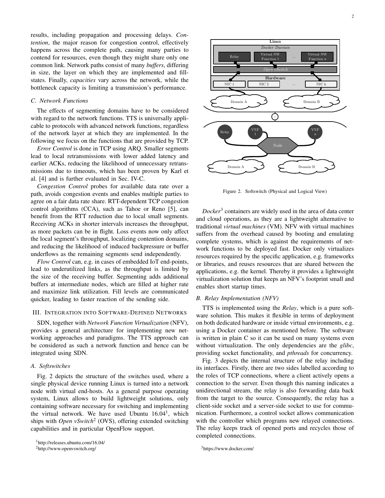results, including propagation and processing delays. *Contention*, the major reason for congestion control, effectively happens across the complete path, causing many parties to contend for resources, even though they might share only one common link. Network paths consist of many *buffers*, differing in size, the layer on which they are implemented and fillstates. Finally, *capacities* vary across the network, while the bottleneck capacity is limiting a transmission's performance.

# *C. Network Functions*

The effects of segmenting domains have to be considered with regard to the network functions. TTS is universally applicable to protocols with advanced network functions, regardless of the network layer at which they are implemented. In the following we focus on the functions that are provided by TCP.

*Error Control* is done in TCP using ARQ. Smaller segments lead to local retransmissions with lower added latency and earlier ACKs, reducing the likelihood of unnecessary retransmissions due to timeouts, which has been proven by Karl et al. [4] and is further evaluated in Sec. IV-C.

*Congestion Control* probes for available data rate over a path, avoids congestion events and enables multiple parties to agree on a fair data rate share. RTT-dependent TCP congestion control algorithms (CCA), such as Tahoe or Reno [5], can benefit from the RTT reduction due to local small segments. Receiving ACKs in shorter intervals increases the throughput, as more packets can be in flight. Loss events now only affect the local segment's throughput, localizing contention domains, and reducing the likelihood of induced backpressure or buffer underflows as the remaining segments send independently.

*Flow Control* can, e.g. in cases of embedded IoT end-points, lead to underutilized links, as the throughput is limited by the size of the receiving buffer. Segmenting adds additional buffers at intermediate nodes, which are filled at higher rate and maximize link utilization. Fill levels are communicated quicker, leading to faster reaction of the sending side.

## III. INTEGRATION INTO SOFTWARE-DEFINED NETWORKS

SDN, together with *Network Function Virtualization* (NFV), provides a general architecture for implementing new networking approaches and paradigms. The TTS approach can be considered as such a network function and hence can be integrated using SDN.

## *A. Softswitches*

Fig. 2 depicts the structure of the switches used, where a single physical device running Linux is turned into a network node with virtual end-hosts. As a general purpose operating system, Linux allows to build lightweight solutions, only containing software necessary for switching and implementing the virtual network. We have used Ubuntu  $16.04<sup>1</sup>$ , which ships with *Open vSwitch*<sup>2</sup> (OVS), offering extended switching capabilities and in particular OpenFlow support.

<sup>2</sup>http://www.openvswitch.org/



Figure 2. Softswitch (Physical and Logical View)

*Docker*<sup>3</sup> containers are widely used in the area of data center and cloud operations, as they are a lightweight alternative to traditional *virtual machines* (VM). NFV with virtual machines suffers from the overhead caused by booting and emulating complete systems, which is against the requirements of network functions to be deployed fast. Docker only virtualizes resources required by the specific application, e.g. frameworks or libraries, and reuses resources that are shared between the applications, e.g. the kernel. Thereby it provides a lightweight virtualization solution that keeps an NFV's footprint small and enables short startup times.

## *B. Relay Implementation (NFV)*

TTS is implemented using the *Relay*, which is a pure software solution. This makes it flexible in terms of deployment on both dedicated hardware or inside virtual environments, e.g. using a Docker container as mentioned before. The software is written in plain C so it can be used on many systems even without virtualization. The only dependencies are the *glibc*, providing socket functionality, and *pthreads* for concurrency.

Fig. 3 depicts the internal structure of the relay including its interfaces. Firstly, there are two sides labelled according to the roles of TCP connections, where a client actively opens a connection to the server. Even though this naming indicates a unidirectional stream, the relay is also forwarding data back from the target to the source. Consequently, the relay has a client-side socket and a server-side socket to use for communication. Furthermore, a control socket allows communication with the controller which programs new relayed connections. The relay keeps track of opened ports and recycles those of completed connections.

<sup>3</sup>https://www.docker.com/

<sup>1</sup>http://releases.ubuntu.com/16.04/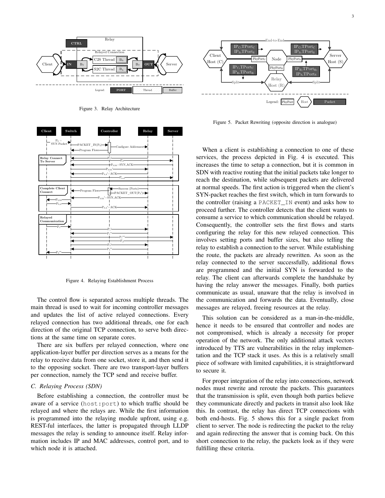

Figure 3. Relay Architecture



Figure 4. Relaying Establishment Process

The control flow is separated across multiple threads. The main thread is used to wait for incoming controller messages and updates the list of active relayed connections. Every relayed connection has two additional threads, one for each direction of the original TCP connection, to serve both directions at the same time on separate cores.

There are six buffers per relayed connection, where one application-layer buffer per direction serves as a means for the relay to receive data from one socket, store it, and then send it to the opposing socket. There are two transport-layer buffers per connection, namely the TCP send and receive buffer.

## *C. Relaying Process (SDN)*

Before establishing a connection, the controller must be aware of a service (host:port) to which traffic should be relayed and where the relays are. While the first information is programmed into the relaying module upfront, using e.g. REST-ful interfaces, the latter is propagated through LLDP messages the relay is sending to announce itself. Relay information includes IP and MAC addresses, control port, and to which node it is attached.



Figure 5. Packet Rewriting (opposite direction is analogue)

When a client is establishing a connection to one of these services, the process depicted in Fig. 4 is executed. This increases the time to setup a connection, but it is common in SDN with reactive routing that the initial packets take longer to reach the destination, while subsequent packets are delivered at normal speeds. The first action is triggered when the client's SYN-packet reaches the first switch, which in turn forwards to the controller (raising a PACKET\_IN event) and asks how to proceed further. The controller detects that the client wants to consume a service to which communication should be relayed. Consequently, the controller sets the first flows and starts configuring the relay for this new relayed connection. This involves setting ports and buffer sizes, but also telling the relay to establish a connection to the server. While establishing the route, the packets are already rewritten. As soon as the relay connected to the server successfully, additional flows are programmed and the initial SYN is forwarded to the relay. The client can afterwards complete the handshake by having the relay answer the messages. Finally, both parties communicate as usual, unaware that the relay is involved in the communication and forwards the data. Eventually, close messages are relayed, freeing resources at the relay.

This solution can be considered as a man-in-the-middle, hence it needs to be ensured that controller and nodes are not compromised, which is already a necessity for proper operation of the network. The only additional attack vectors introduced by TTS are vulnerabilities in the relay implementation and the TCP stack it uses. As this is a relatively small piece of software with limited capabilities, it is straightforward to secure it.

For proper integration of the relay into connections, network nodes must rewrite and reroute the packets. This guarantees that the transmission is split, even though both parties believe they communicate directly and packets in transit also look like this. In contrast, the relay has direct TCP connections with both end-hosts. Fig. 5 shows this for a single packet from client to server. The node is redirecting the packet to the relay and again redirecting the answer that is coming back. On this short connection to the relay, the packets look as if they were fulfilling these criteria.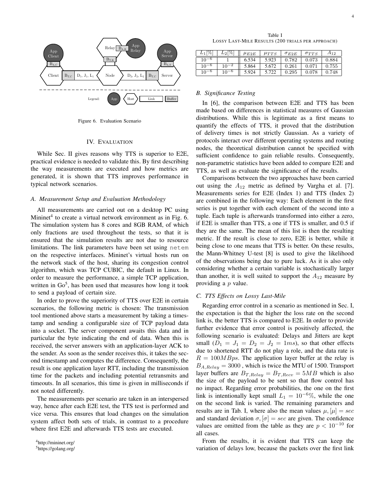

Figure 6. Evaluation Scenario

# IV. EVALUATION

While Sec. II gives reasons why TTS is superior to E2E, practical evidence is needed to validate this. By first describing the way measurements are executed and how metrics are generated, it is shown that TTS improves performance in typical network scenarios.

## *A. Measurement Setup and Evaluation Methodology*

All measurements are carried out on a desktop PC using Mininet<sup>4</sup> to create a virtual network environment as in Fig. 6. The simulation system has 8 cores and 8GB RAM, of which only fractions are used throughout the tests, so that it is ensured that the simulation results are not due to resource limitations. The link parameters have been set using netem on the respective interfaces. Mininet's virtual hosts run on the network stack of the host, sharing its congestion control algorithm, which was TCP CUBIC, the default in Linux. In order to measure the performance, a simple TCP application, written in  $Go<sup>5</sup>$ , has been used that measures how long it took to send a payload of certain size.

In order to prove the superiority of TTS over E2E in certain scenarios, the following metric is chosen: The transmission tool mentioned above starts a measurement by taking a timestamp and sending a configurable size of TCP payload data into a socket. The server component awaits this data and in particular the byte indicating the end of data. When this is received, the server answers with an application-layer ACK to the sender. As soon as the sender receives this, it takes the second timestamp and computes the difference. Consequently, the result is one application layer RTT, including the transmission time for the packets and including potential retransmits and timeouts. In all scenarios, this time is given in milliseconds if not noted differently.

The measurements per scenario are taken in an interspersed way, hence after each E2E test, the TTS test is performed and vice versa. This ensures that load changes on the simulation system affect both sets of trials, in contrast to a procedure where first E2E and afterwards TTS tests are executed.

Table I LOSSY LAST-MILE RESULTS (200 TRIALS PER APPROACH)

| $L_1$  %  | $L_2$  % $ $ | $\mu_{E2E}$ | $\mu_{TTS}$ | $\sigma_{E2E}$ | $\sigma_{TTS}$ | $A_{12}$ |
|-----------|--------------|-------------|-------------|----------------|----------------|----------|
| $10^{-6}$ |              | 6.534       | 5.923       | 0.782          | 0.073          | 0.884    |
| $10^{-6}$ |              | 5.864       | 5.672       | 0.261          | 0.071          | 0.755    |
| $10^{-6}$ |              | 5.924       | 5.722       | 0.295          | 0.078          | 0.748    |

# *B. Significance Testing*

In [6], the comparison between E2E and TTS has been made based on differences in statistical measures of Gaussian distributions. While this is legitimate as a first means to quantify the effects of TTS, it proved that the distribution of delivery times is not strictly Gaussian. As a variety of protocols interact over different operating systems and routing nodes, the theoretical distribution cannot be specified with sufficient confidence to gain reliable results. Consequently, non-parametric statistics have been added to compare E2E and TTS, as well as evaluate the significance of the results.

Comparisons between the two approaches have been carried out using the  $A_{12}$  metric as defined by Vargha et al. [7]. Measurements series for E2E (Index 1) and TTS (Index 2) are combined in the following way: Each element in the first series is put together with each element of the second into a tuple. Each tuple is afterwards transformed into either a zero, if E2E is smaller than TTS, a one if TTS is smaller, and 0.5 if they are the same. The mean of this list is then the resulting metric. If the result is close to zero, E2E is better, while it being close to one means that TTS is better. On these results, the Mann-Whitney U-test [8] is used to give the likelihood of the observations being due to pure luck. As it is also only considering whether a certain variable is stochastically larger than another, it is well suited to support the  $A_{12}$  measure by providing a  $p$  value.

## *C. TTS Effects on Lossy Last-Mile*

Regarding error control in a scenario as mentioned in Sec. I, the expectation is that the higher the loss rate on the second link is, the better TTS is compared to E2E. In order to provide further evidence that error control is positively affected, the following scenario is evaluated: Delays and Jitters are kept small  $(D_1 = J_1 = D_2 = J_2 = 1 \text{ms})$ , so that other effects due to shortened RTT do not play a role, and the data rate is  $R = 100MBps$ . The application layer buffer at the relay is  $B_{A,Relay} = 3000$ , which is twice the MTU of 1500. Transport layer buffers are  $B_{T,Relay} = B_{T, Recv} = 5MB$  which is also the size of the payload to be sent so that flow control has no impact. Regarding error probabilities, the one on the first link is intentionally kept small  $L_1 = 10^{-6}\%$ , while the one on the second link is varied. The remaining parameters and results are in Tab. I, where also the mean values  $\mu$ ,  $[\mu] = sec$ and standard deviation  $\sigma$ ,  $\sigma$  = sec are given. The confidence values are omitted from the table as they are  $p < 10^{-10}$  for all cases.

From the results, it is evident that TTS can keep the variation of delays low, because the packets over the first link

<sup>4</sup>http://mininet.org/

<sup>5</sup>https://golang.org/